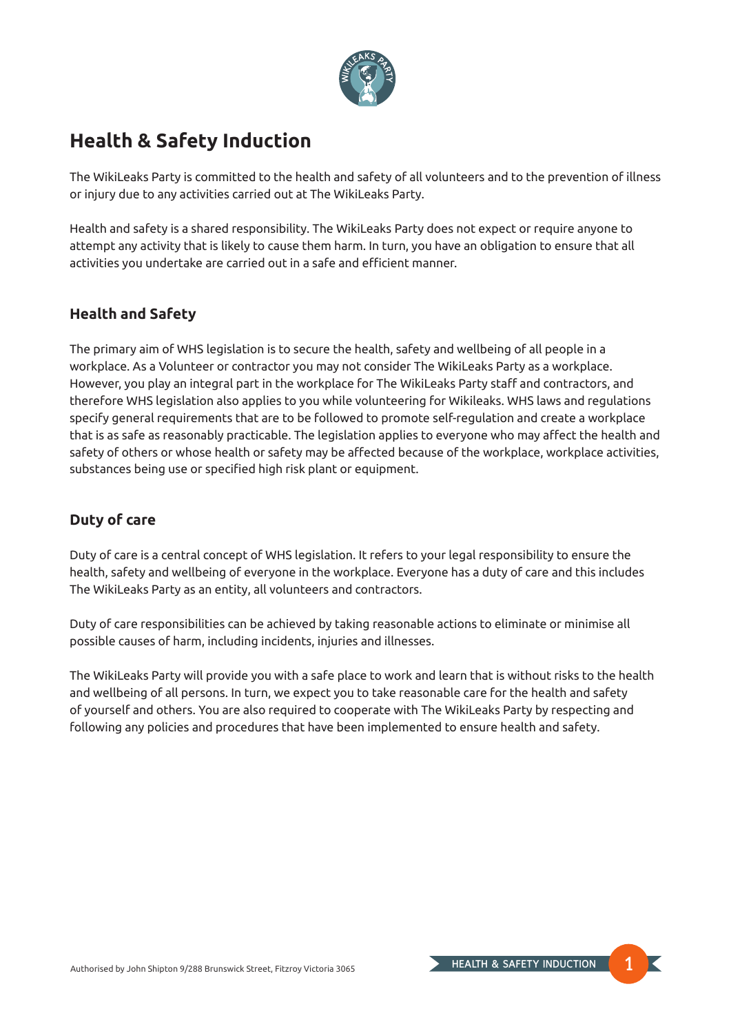

# **Health & Safety Induction**

The WikiLeaks Party is committed to the health and safety of all volunteers and to the prevention of illness or injury due to any activities carried out at The WikiLeaks Party.

Health and safety is a shared responsibility. The WikiLeaks Party does not expect or require anyone to attempt any activity that is likely to cause them harm. In turn, you have an obligation to ensure that all activities you undertake are carried out in a safe and efficient manner.

## **Health and Safety**

The primary aim of WHS legislation is to secure the health, safety and wellbeing of all people in a workplace. As a Volunteer or contractor you may not consider The WikiLeaks Party as a workplace. However, you play an integral part in the workplace for The WikiLeaks Party staff and contractors, and therefore WHS legislation also applies to you while volunteering for Wikileaks. WHS laws and regulations specify general requirements that are to be followed to promote self-regulation and create a workplace that is as safe as reasonably practicable. The legislation applies to everyone who may affect the health and safety of others or whose health or safety may be affected because of the workplace, workplace activities, substances being use or specified high risk plant or equipment.

## **Duty of care**

Duty of care is a central concept of WHS legislation. It refers to your legal responsibility to ensure the health, safety and wellbeing of everyone in the workplace. Everyone has a duty of care and this includes The WikiLeaks Party as an entity, all volunteers and contractors.

Duty of care responsibilities can be achieved by taking reasonable actions to eliminate or minimise all possible causes of harm, including incidents, injuries and illnesses.

The WikiLeaks Party will provide you with a safe place to work and learn that is without risks to the health and wellbeing of all persons. In turn, we expect you to take reasonable care for the health and safety of yourself and others. You are also required to cooperate with The WikiLeaks Party by respecting and following any policies and procedures that have been implemented to ensure health and safety.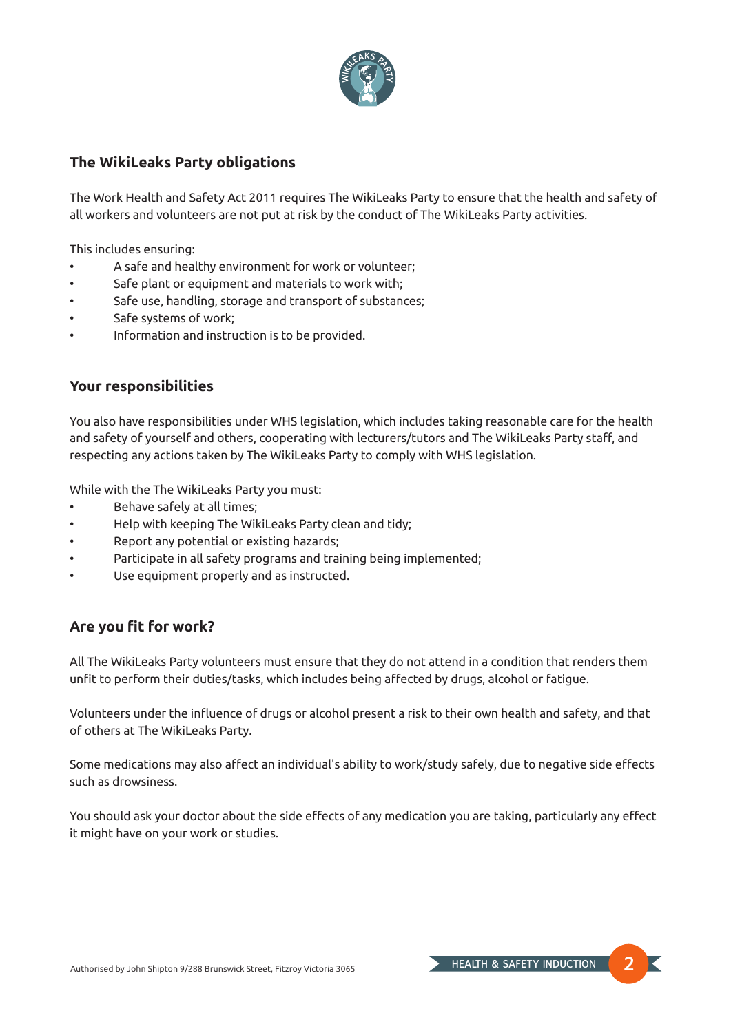

#### **The WikiLeaks Party obligations**

The Work Health and Safety Act 2011 requires The WikiLeaks Party to ensure that the health and safety of all workers and volunteers are not put at risk by the conduct of The WikiLeaks Party activities.

This includes ensuring:

- A safe and healthy environment for work or volunteer;
- Safe plant or equipment and materials to work with;
- Safe use, handling, storage and transport of substances;
- Safe systems of work;
- Information and instruction is to be provided.

#### **Your responsibilities**

You also have responsibilities under WHS legislation, which includes taking reasonable care for the health and safety of yourself and others, cooperating with lecturers/tutors and The WikiLeaks Party staff, and respecting any actions taken by The WikiLeaks Party to comply with WHS legislation.

While with the The WikiLeaks Party you must:

- Behave safely at all times;
- Help with keeping The WikiLeaks Party clean and tidy;
- Report any potential or existing hazards;
- Participate in all safety programs and training being implemented;
- Use equipment properly and as instructed.

## **Are you fit for work?**

All The WikiLeaks Party volunteers must ensure that they do not attend in a condition that renders them unfit to perform their duties/tasks, which includes being affected by drugs, alcohol or fatigue.

Volunteers under the influence of drugs or alcohol present a risk to their own health and safety, and that of others at The WikiLeaks Party.

Some medications may also affect an individual's ability to work/study safely, due to negative side effects such as drowsiness.

You should ask your doctor about the side effects of any medication you are taking, particularly any effect it might have on your work or studies.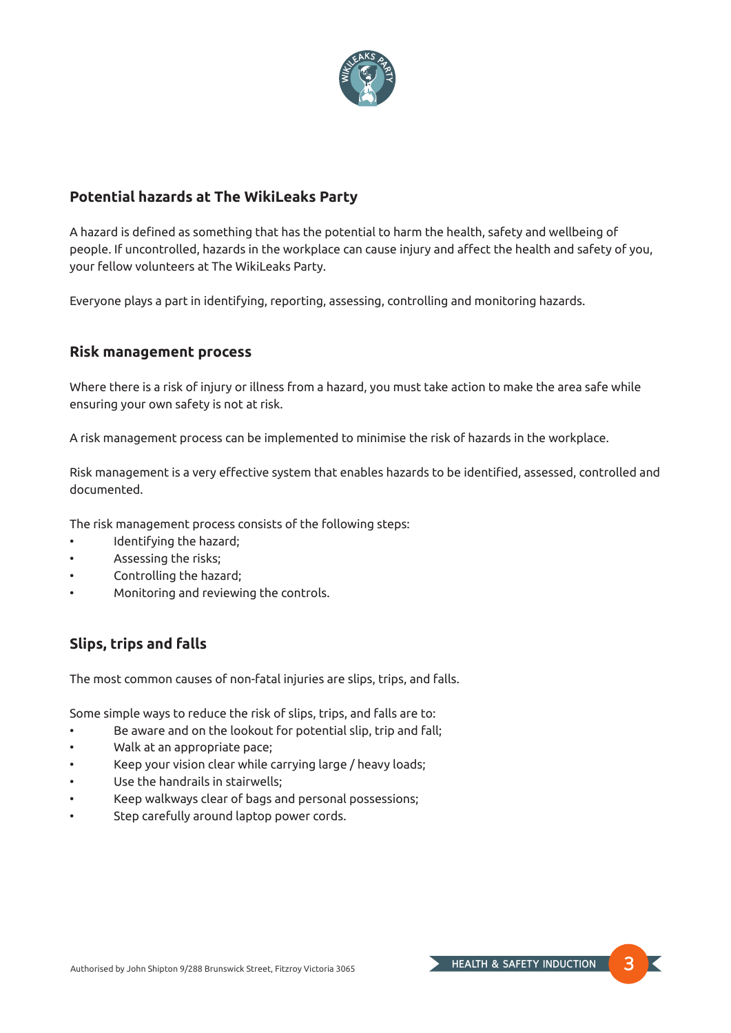

## **Potential hazards at The WikiLeaks Party**

A hazard is defined as something that has the potential to harm the health, safety and wellbeing of people. If uncontrolled, hazards in the workplace can cause injury and affect the health and safety of you, your fellow volunteers at The WikiLeaks Party.

Everyone plays a part in identifying, reporting, assessing, controlling and monitoring hazards.

#### **Risk management process**

Where there is a risk of injury or illness from a hazard, you must take action to make the area safe while ensuring your own safety is not at risk.

A risk management process can be implemented to minimise the risk of hazards in the workplace.

Risk management is a very effective system that enables hazards to be identified, assessed, controlled and documented.

The risk management process consists of the following steps:

- Identifying the hazard;
- Assessing the risks;
- Controlling the hazard;
- Monitoring and reviewing the controls.

## **Slips, trips and falls**

The most common causes of non-fatal injuries are slips, trips, and falls.

Some simple ways to reduce the risk of slips, trips, and falls are to:

- Be aware and on the lookout for potential slip, trip and fall;
- Walk at an appropriate pace;
- Keep your vision clear while carrying large / heavy loads;
- Use the handrails in stairwells;
- Keep walkways clear of bags and personal possessions;
- Step carefully around laptop power cords.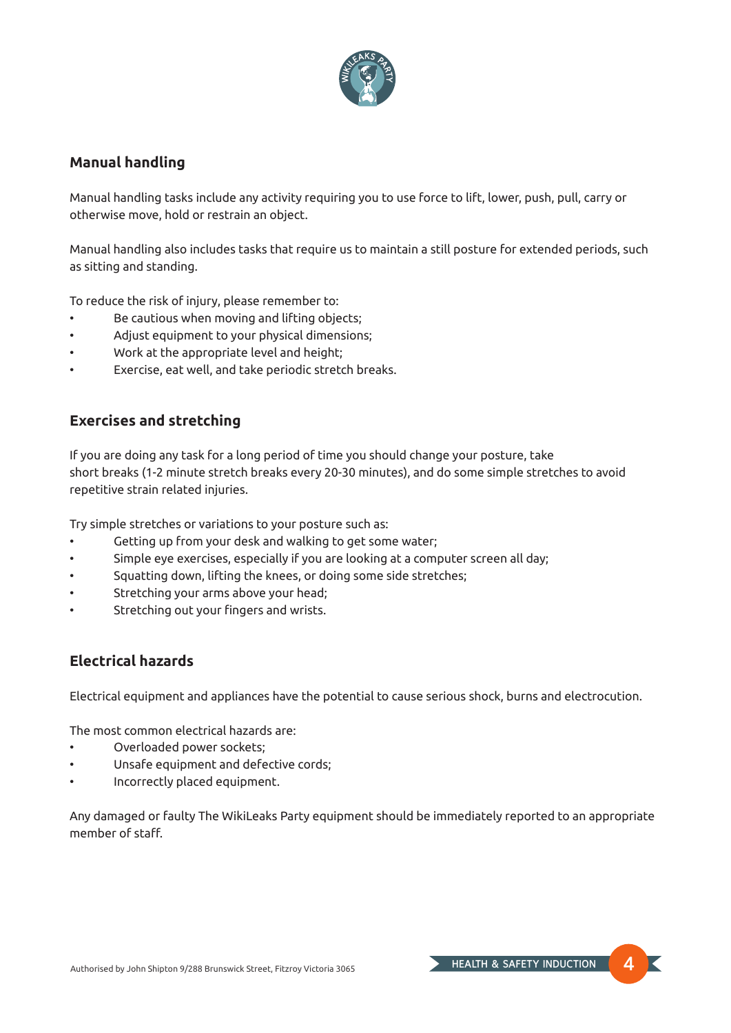

#### **Manual handling**

Manual handling tasks include any activity requiring you to use force to lift, lower, push, pull, carry or otherwise move, hold or restrain an object.

Manual handling also includes tasks that require us to maintain a still posture for extended periods, such as sitting and standing.

To reduce the risk of injury, please remember to:

- Be cautious when moving and lifting objects;
- Adjust equipment to your physical dimensions;
- Work at the appropriate level and height;
- Exercise, eat well, and take periodic stretch breaks.

## **Exercises and stretching**

If you are doing any task for a long period of time you should change your posture, take short breaks (1-2 minute stretch breaks every 20-30 minutes), and do some simple stretches to avoid repetitive strain related injuries.

Try simple stretches or variations to your posture such as:

- Getting up from your desk and walking to get some water;
- Simple eye exercises, especially if you are looking at a computer screen all day;
- Squatting down, lifting the knees, or doing some side stretches;
- Stretching your arms above your head;
- Stretching out your fingers and wrists.

## **Electrical hazards**

Electrical equipment and appliances have the potential to cause serious shock, burns and electrocution.

The most common electrical hazards are:

- Overloaded power sockets;
- Unsafe equipment and defective cords;
- Incorrectly placed equipment.

Any damaged or faulty The WikiLeaks Party equipment should be immediately reported to an appropriate member of staff.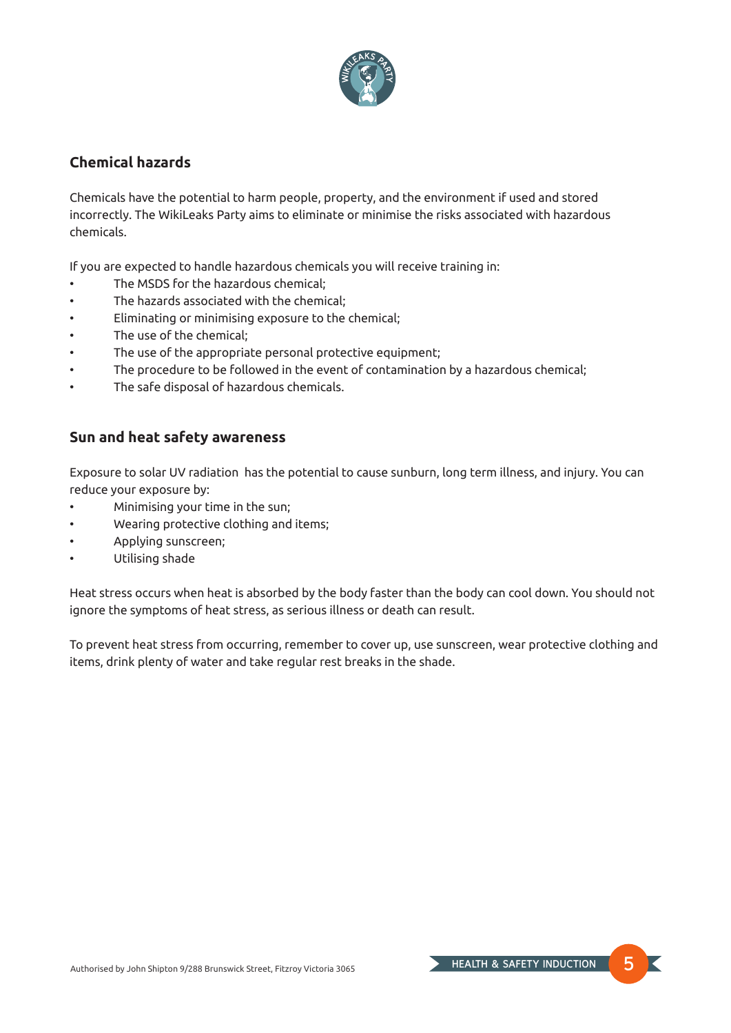

#### **Chemical hazards**

Chemicals have the potential to harm people, property, and the environment if used and stored incorrectly. The WikiLeaks Party aims to eliminate or minimise the risks associated with hazardous chemicals.

If you are expected to handle hazardous chemicals you will receive training in:

- The MSDS for the hazardous chemical;
- The hazards associated with the chemical;
- Eliminating or minimising exposure to the chemical;
- The use of the chemical:
- The use of the appropriate personal protective equipment;
- The procedure to be followed in the event of contamination by a hazardous chemical;
- The safe disposal of hazardous chemicals.

#### **Sun and heat safety awareness**

Exposure to solar UV radiation has the potential to cause sunburn, long term illness, and injury. You can reduce your exposure by:

- Minimising your time in the sun;
- Wearing protective clothing and items;
- Applying sunscreen;
- Utilising shade

Heat stress occurs when heat is absorbed by the body faster than the body can cool down. You should not ignore the symptoms of heat stress, as serious illness or death can result.

To prevent heat stress from occurring, remember to cover up, use sunscreen, wear protective clothing and items, drink plenty of water and take regular rest breaks in the shade.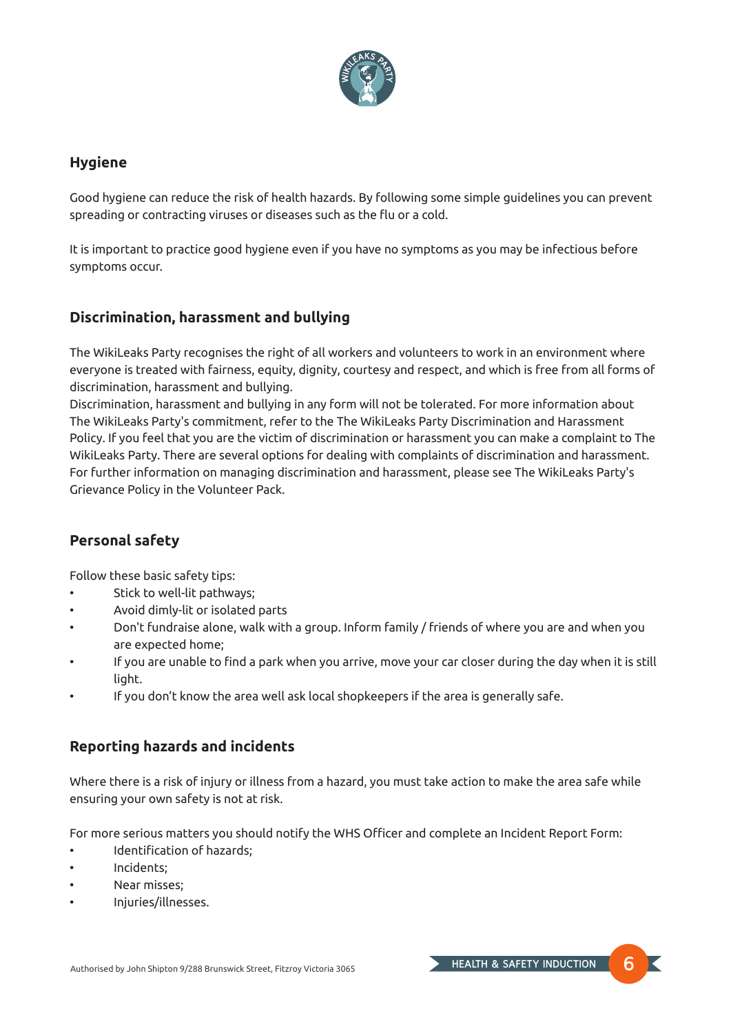

#### **Hygiene**

Good hygiene can reduce the risk of health hazards. By following some simple guidelines you can prevent spreading or contracting viruses or diseases such as the flu or a cold.

It is important to practice good hygiene even if you have no symptoms as you may be infectious before symptoms occur.

## **Discrimination, harassment and bullying**

The WikiLeaks Party recognises the right of all workers and volunteers to work in an environment where everyone is treated with fairness, equity, dignity, courtesy and respect, and which is free from all forms of discrimination, harassment and bullying.

Discrimination, harassment and bullying in any form will not be tolerated. For more information about The WikiLeaks Party's commitment, refer to the The WikiLeaks Party Discrimination and Harassment Policy. If you feel that you are the victim of discrimination or harassment you can make a complaint to The WikiLeaks Party. There are several options for dealing with complaints of discrimination and harassment. For further information on managing discrimination and harassment, please see The WikiLeaks Party's Grievance Policy in the Volunteer Pack.

# **Personal safety**

Follow these basic safety tips:

- Stick to well-lit pathways;
- Avoid dimly-lit or isolated parts
- Don't fundraise alone, walk with a group. Inform family / friends of where you are and when you are expected home;
- If you are unable to find a park when you arrive, move your car closer during the day when it is still light.
- If you don't know the area well ask local shopkeepers if the area is generally safe.

## **Reporting hazards and incidents**

Where there is a risk of injury or illness from a hazard, you must take action to make the area safe while ensuring your own safety is not at risk.

For more serious matters you should notify the WHS Officer and complete an Incident Report Form:

- Identification of hazards;
- Incidents;
- Near misses:
- Injuries/illnesses.